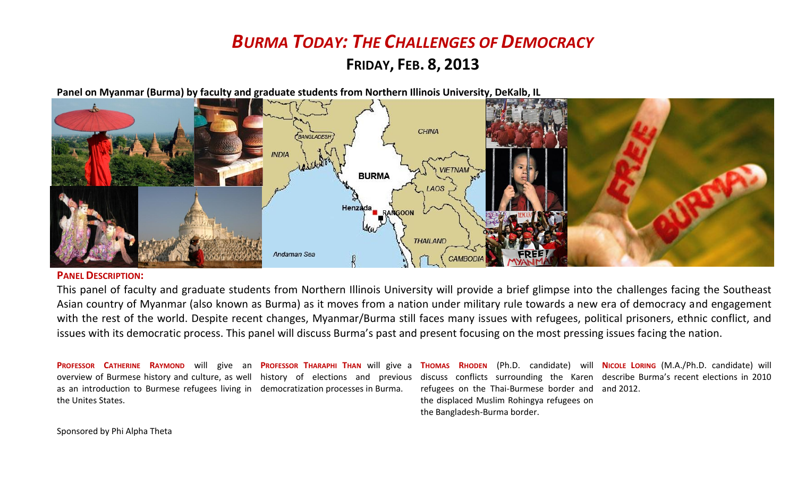# *BURMA TODAY: THE CHALLENGES OF DEMOCRACY*

### **FRIDAY, FEB. 8, 2013**

**Panel on Myanmar (Burma) by faculty and graduate students from Northern Illinois University, DeKalb, IL**



#### **PANEL DESCRIPTION:**

This panel of faculty and graduate students from Northern Illinois University will provide a brief glimpse into the challenges facing the Southeast Asian country of Myanmar (also known as Burma) as it moves from a nation under military rule towards a new era of democracy and engagement with the rest of the world. Despite recent changes, Myanmar/Burma still faces many issues with refugees, political prisoners, ethnic conflict, and issues with its democratic process. This panel will discuss Burma's past and present focusing on the most pressing issues facing the nation.

PROFESSOR CATHERINE RAYMOND will give an PROFESSOR THARAPHI THAN will give a THOMAS RHODEN (Ph.D. candidate) will NICOLE LORING (M.A./Ph.D. candidate) will overview of Burmese history and culture, as well history of elections and previous discuss conflicts surrounding the Karen describe Burma's recent elections in 2010 as an introduction to Burmese refugees living in democratization processes in Burma. the Unites States. refugees on the Thai-Burmese border and and 2012.the displaced Muslim Rohingya refugees on the Bangladesh-Burma border.

Sponsored by Phi Alpha Theta